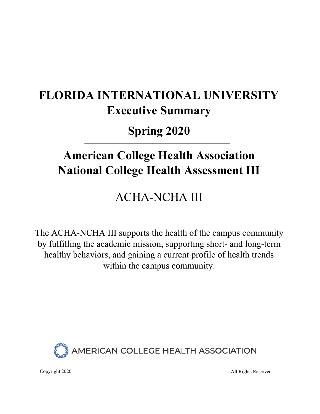# **FLORIDA INTERNATIONAL UNIVERSITY Executive Summary**

**Spring 2020**

# **American College Health Association National College Health Assessment III**

# ACHA-NCHA III

The ACHA-NCHA III supports the health of the campus community by fulfilling the academic mission, supporting short- and long-term healthy behaviors, and gaining a current profile of health trends within the campus community.



Copyright 2020 All Rights Reserved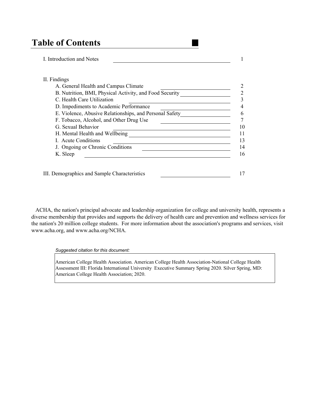# **Table of Contents**

I. Introduction and Notes 1

| A. General Health and Campus Climate                    |  |
|---------------------------------------------------------|--|
| B. Nutrition, BMI, Physical Activity, and Food Security |  |
| C. Health Care Utilization                              |  |
| D. Impediments to Academic Performance                  |  |
| E. Violence, Abusive Relationships, and Personal Safety |  |
| F. Tobacco, Alcohol, and Other Drug Use                 |  |
| G. Sexual Behavior                                      |  |
| H. Mental Health and Wellbeing                          |  |
| <b>L.</b> Acute Conditions                              |  |
| J. Ongoing or Chronic Conditions                        |  |
| K. Sleep                                                |  |

 ACHA, the nation's principal advocate and leadership organization for college and university health, represents a diverse membership that provides and supports the delivery of health care and prevention and wellness services for the nation's 20 million college students. For more information about the association's programs and services, visit www.acha.org, and www.acha.org/NCHA.

*Suggested citation for this document:* 

American College Health Association. American College Health Association-National College Health Assessment III: Florida International University Executive Summary Spring 2020. Silver Spring, MD: American College Health Association; 2020.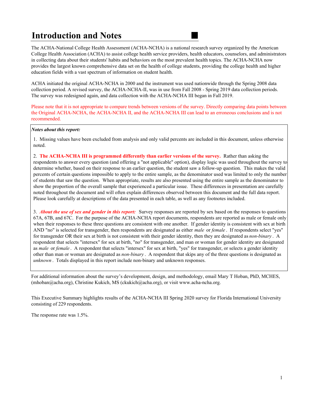# **Introduction and Notes**

The ACHA-National College Health Assessment (ACHA-NCHA) is a national research survey organized by the American College Health Association (ACHA) to assist college health service providers, health educators, counselors, and administrators in collecting data about their students' habits and behaviors on the most prevalent health topics. The ACHA-NCHA now provides the largest known comprehensive data set on the health of college students, providing the college health and higher education fields with a vast spectrum of information on student health.

ACHA initiated the original ACHA-NCHA in 2000 and the instrument was used nationwide through the Spring 2008 data collection period. A revised survey, the ACHA-NCHA-II, was in use from Fall 2008 - Spring 2019 data collection periods. The survey was redesigned again, and data collection with the ACHA-NCHA III began in Fall 2019.

Please note that it is not appropriate to compare trends between versions of the survey. Directly comparing data points between the Original ACHA-NCHA, the ACHA-NCHA II, and the ACHA-NCHA III can lead to an erroneous conclusions and is not recommended.

#### *Notes about this report:*

1. Missing values have been excluded from analysis and only valid percents are included in this document, unless otherwise noted.

2. **The ACHA-NCHA III is programmed differently than earlier versions of the survey.** Rather than asking the respondents to answer every question (and offering a "not applicable" option), display logic was used throughout the survey to determine whether, based on their response to an earlier question, the student saw a follow-up question. This makes the valid percents of certain questions impossible to apply to the entire sample, as the denominator used was limited to only the number of students that saw the question. When appropriate, results are also presented using the entire sample as the denominator to show the proportion of the overall sample that experienced a particular issue. These differences in presentation are carefully noted throughout the document and will often explain differences observed between this document and the full data report. Please look carefully at descriptions of the data presented in each table, as well as any footnotes included.

3. *About the use of sex and gender in this report:* Survey responses are reported by sex based on the responses to questions 67A, 67B, and 67C. For the purpose of the ACHA-NCHA report documents, respondents are reported as male or female only when their responses to these three questions are consistent with one another. If gender identity is consistent with sex at birth AND "no" is selected for transgender, then respondents are designated as either *male* or *female* . If respondents select "yes" for transgender OR their sex at birth is not consistent with their gender identity, then they are designated as *non-binary* . A respondent that selects "intersex" for sex at birth, "no" for transgender, and man or woman for gender identity are designated as *male* or *female* . A respondent that selects "intersex" for sex at birth, "yes" for transgender, or selects a gender identity other than man or woman are designated as *non-binary* . A respondent that skips any of the three questions is designated as *unknown* . Totals displayed in this report include non-binary and unknown responses.

For additional information about the survey's development, design, and methodology, email Mary T Hoban, PhD, MCHES,  $(mhoban@acha.org)$ , Christine Kukich, MS (ckukich $@acha.org$ ), or visit www.acha-ncha.org.

This Executive Summary highlights results of the ACHA-NCHA III Spring 2020 survey for Florida International University consisting of 229 respondents.

The response rate was 1.5%.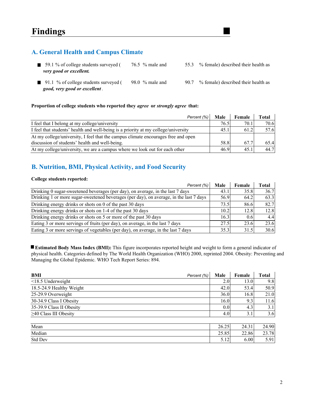## **A. General Health and Campus Climate**

- 59.1 % of college students surveyed ( $\frac{76.5}{8}$  male and  $\frac{55.3}{8}$  % female) described their health as *very good or excellent.*
- 91.1 % of college students surveyed (98.0 % male and 90.7 % female) described their health as *good, very good or excellent .*
- -

#### **Proportion of college students who reported they** *agree* **or** *strongly agree* **that:**

| Percent (%)                                                                        | Male | Female | Total |
|------------------------------------------------------------------------------------|------|--------|-------|
| I feel that I belong at my college/university                                      | 76.5 | 70.1   | 70.6  |
| I feel that students' health and well-being is a priority at my college/university | 45.1 | 61.2   | 57.6  |
| At my college/university, I feel that the campus climate encourages free and open  |      |        |       |
| discussion of students' health and well-being.                                     | 58.8 | 67.7   | 65.4  |
| At my college/university, we are a campus where we look out for each other         | 46.9 | 45.1   | 44.7  |

## **B. Nutrition, BMI, Physical Activity, and Food Security**

#### **College students reported:**

| Percent (%)                                                                            | Male | Female | Total |
|----------------------------------------------------------------------------------------|------|--------|-------|
| Drinking 0 sugar-sweetened beverages (per day), on average, in the last 7 days         | 43.1 | 35.8   | 36.7  |
| Drinking 1 or more sugar-sweetened beverages (per day), on average, in the last 7 days | 56.9 | 64.2   | 63.3  |
| Drinking energy drinks or shots on 0 of the past 30 days                               | 73.5 | 86.6   | 82.7  |
| Drinking energy drinks or shots on 1-4 of the past 30 days                             | 10.2 | 12.8   | 12.8  |
| Drinking energy drinks or shots on 5 or more of the past 30 days                       | 16.3 | 0.6    | 4.4   |
| Eating 3 or more servings of fruits (per day), on average, in the last 7 days          | 27.5 | 23.6   | 23.6  |
| Eating 3 or more servings of vegetables (per day), on average, in the last 7 days      | 35.3 | 31.5   | 30.6  |

**Estimated Body Mass Index (BMI):** This figure incorporates reported height and weight to form a general indicator of physical health. Categories defined by The World Health Organization (WHO) 2000, reprinted 2004. Obesity: Preventing and Managing the Global Epidemic. WHO Tech Report Series: 894.

| BMI<br>Percent (%)          | Male  | Female | <b>Total</b> |
|-----------------------------|-------|--------|--------------|
| $\leq$ 18.5 Underweight     | 2.0   | 13.0   | 9.8          |
| 18.5-24.9 Healthy Weight    | 42.0  | 53.4   | 50.9         |
| 25-29.9 Overweight          | 36.0  | 16.8   | 21.0         |
| 30-34.9 Class I Obesity     | 16.0  | 9.3    | 11.6         |
| 35-39.9 Class II Obesity    | 0.0   | 4.3    | 3.1          |
| $\geq$ 40 Class III Obesity | 4.0   | 3.1    | 3.6          |
| Mean                        | 26.25 | 24.31  | 24.90        |
| Median                      | 25.85 | 22.86  | 23.78        |
| Std Dev                     | 5.12  | 6.00   | 5.91         |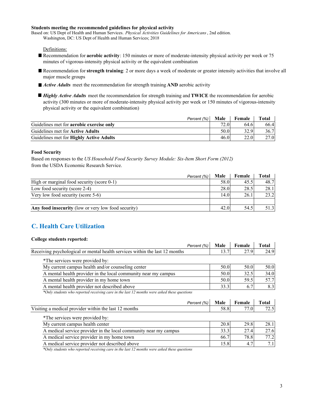#### **Students meeting the recommended guidelines for physical activity**

Based on: US Dept of Health and Human Services. *Physical Activities Guidelines for Americans*, 2nd edition. Washington, DC: US Dept of Health and Human Services; 2018

#### Definitions:

- Recommendation for **aerobic activity**: 150 minutes or more of moderate-intensity physical activity per week or 75 minutes of vigorous-intensity physical activity or the equivalent combination
- Recommendation for **strength training**: 2 or more days a week of moderate or greater intensity activities that involve all major muscle groups
- *Active Adults* meet the recommendation for strength training **AND** aerobic activity
- *Highly Active Adults* meet the recommendation for strength training and **TWICE** the recommendation for aerobic activity (300 minutes or more of moderate-intensity physical activity per week or 150 minutes of vigorous-intensity physical activity or the equivalent combination)

| Percent (%)                                     | Male | Female | Total |
|-------------------------------------------------|------|--------|-------|
| Guidelines met for <b>aerobic</b> exercise only | 72.0 | 64.6   | 66.4  |
| Guidelines met for <b>Active Adults</b>         | 50.0 | 32.9   | 36.7  |
| Guidelines met for Highly Active Adults         | 46.0 | 22.0   | 27.0  |

#### **Food Security**

Based on responses to the *US Household Food Security Survey Module: Six-Item Short Form (2012)* from the USDA Economic Research Service.

| Percent (%)                                         | Male | Female | Total |
|-----------------------------------------------------|------|--------|-------|
| High or marginal food security (score 0-1)          | 58.0 | 45.5   | 48.7  |
| Low food security (score 2-4)                       | 28.0 | 28.5   | 28.1  |
| Very low food security (score 5-6)                  | 14.0 | 26.1   | 23.2  |
|                                                     |      |        |       |
| Any food insecurity (low or very low food security) | 42.0 | 54.5   | 51.3  |

## **C. Health Care Utilization**

#### **College students reported:**

| Percent (%)                                                                                 | Male | Female | <b>Total</b> |
|---------------------------------------------------------------------------------------------|------|--------|--------------|
| Receiving psychological or mental health services within the last 12 months                 | 13.7 | 27.9   | 24.9         |
| *The services were provided by:                                                             |      |        |              |
| My current campus health and/or counseling center                                           | 50.0 | 50.0   | 50.0         |
| A mental health provider in the local community near my campus                              | 50.0 | 32.5   | 34.0         |
| A mental health provider in my home town                                                    | 50.0 | 59.5   | 57.7         |
| A mental health provider not described above                                                | 33.3 | 6.7    | 8.3          |
| *Only students who reported receiving care in the last 12 months were asked these questions |      |        |              |
| Percent (%)                                                                                 | Male | Female | Total        |
| Visiting a medical provider within the last 12 months                                       | 58.8 | 77.0   | 72.5         |
| *The services were provided by:                                                             |      |        |              |
| My current campus health center                                                             | 20.8 | 29.8   | 28.1         |
| A medical service provider in the local community near my campus                            | 33.3 | 27.4   | 27.6         |
|                                                                                             |      |        |              |
| A medical service provider in my home town                                                  | 66.7 | 78.8   | 77.2         |

*\*Only students who reported receiving care in the last 12 months were asked these questions*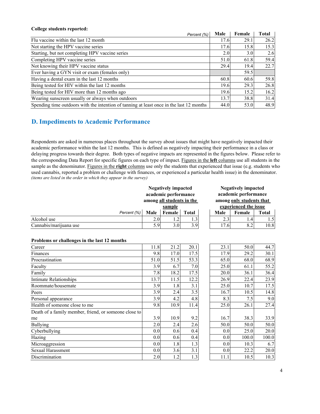#### **College students reported:**

| Percent (%)                                                                              | Male | Female | <b>Total</b> |
|------------------------------------------------------------------------------------------|------|--------|--------------|
| Flu vaccine within the last 12 month                                                     | 17.6 | 29.1   | 26.2         |
| Not starting the HPV vaccine series                                                      | 17.6 | 15.8   | 15.3         |
| Starting, but not completing HPV vaccine series                                          | 2.0  | 3.0    | 2.6          |
| Completing HPV vaccine series                                                            | 51.0 | 61.8   | 59.4         |
| Not knowing their HPV vaccine status                                                     | 29.4 | 19.4   | 22.7         |
| Ever having a GYN visit or exam (females only)                                           |      | 59.5   |              |
| Having a dental exam in the last 12 months                                               | 60.8 | 60.6   | 59.8         |
| Being tested for HIV within the last 12 months                                           | 19.6 | 29.3   | 26.8         |
| Being tested for HIV more than 12 months ago                                             | 19.6 | 15.2   | 16.2         |
| Wearing sunscreen usually or always when outdoors                                        | 13.7 | 38.8   | 31.4         |
| Spending time outdoors with the intention of tanning at least once in the last 12 months | 44.0 | 53.0   | 48.9         |

# **D. Impediments to Academic Performance**

*(items are listed in the order in which they appear in the survey)* Respondents are asked in numerous places throughout the survey about issues that might have negatively impacted their academic performance within the last 12 months. This is defined as negatively impacting their performance in a class or delaying progress towards their degree. Both types of negative impacts are represented in the figures below. Please refer to the corresponding Data Report for specific figures on each type of impact. Figures in the **left** columns use all students in the sample as the denominator. Figures in the **right** columns use only the students that experienced that issue (e.g. students who used cannabis, reported a problem or challenge with finances, or experienced a particular health issue) in the denominator.

|                        |             |      | <b>Negatively impacted</b><br>academic performance |              |                                                   | <b>Negatively impacted</b><br>academic performance |       |
|------------------------|-------------|------|----------------------------------------------------|--------------|---------------------------------------------------|----------------------------------------------------|-------|
|                        |             |      | among all students in the<br>sample                |              | among only students that<br>experienced the issue |                                                    |       |
|                        | Percent (%) | Male | <b>Female</b>                                      | <b>Total</b> | Male                                              | Female                                             | Total |
| Alcohol use            |             | 2.0  |                                                    |              | 2.31                                              | $\cdot$ .4                                         | 1.5   |
| Cannabis/marijuana use |             | 5.9  | 3.0 <sub>l</sub>                                   | 3.9          | 17.6                                              | 8.2                                                | 10.8  |

#### **Problems or challenges in the last 12 months**

| Career                                                | 11.8 | 21.2 | 20.1            |
|-------------------------------------------------------|------|------|-----------------|
| Finances                                              | 9.8  | 17.0 | 17.5            |
| Procrastination                                       | 51.0 | 51.5 | 53.3            |
| Faculty                                               | 3.9  | 6.7  | 7 <sub>.0</sub> |
| Family                                                | 7.8  | 18.2 | 17.5            |
| Intimate Relationships                                | 13.7 | 11.5 | 12.2            |
| Roommate/housemate                                    | 3.9  | 1.8  | 3.1             |
| Peers                                                 | 3.9  | 2.4  | 3.5             |
| Personal appearance                                   | 3.9  | 4.2  | 4.8             |
| Health of someone close to me                         | 9.8  | 10.9 | 11.4            |
| Death of a family member, friend, or someone close to |      |      |                 |
| me                                                    | 3.9  | 10.9 | 9.2             |
| <b>Bullying</b>                                       | 2.0  | 2.4  | 2.6             |
| Cyberbullying                                         | 0.0  | 0.6  | 0.4             |
| Hazing                                                | 0.0  | 0.6  | 0.4             |
| Microaggression                                       | 0.0  | 1.8  | 1.3             |
| <b>Sexual Harassment</b>                              | 0.0  | 3.6  | 3.1             |
| Discrimination                                        | 2.0  | 1.2  | 1.3             |

| 11.8 | 21.2 | 20.1 | 23.1 | 50.0  | 44.7  |
|------|------|------|------|-------|-------|
| 9.8  | 17.0 | 17.5 | 17.9 | 29.2  | 30.1  |
| 51.0 | 51.5 | 53.3 | 65.0 | 68.0  | 68.9  |
| 3.9  | 6.7  | 7.0  | 25.0 | 61.1  | 55.2  |
| 7.8  | 18.2 | 17.5 | 20.0 | 36.1  | 36.4  |
| 13.7 | 11.5 | 12.2 | 26.9 | 22.4  | 23.9  |
| 3.9  | 1.8  | 3.1  | 25.0 | 10.7  | 17.5  |
| 3.9  | 2.4  | 3.5  | 16.7 | 10.5  | 14.8  |
| 3.9  | 4.2  | 4.8  | 8.3  | 7.5   | 9.0   |
| 9.8  | 10.9 | 11.4 | 25.0 | 26.1  | 27.4  |
|      |      |      |      |       |       |
| 3.9  | 10.9 | 9.2  | 16.7 | 38.3  | 33.9  |
| 2.0  | 2.4  | 2.6  | 50.0 | 50.0  | 50.0  |
| 0.0  | 0.6  | 0.4  | 0.0  | 25.0  | 20.0  |
| 0.0  | 0.6  | 0.4  | 0.0  | 100.0 | 100.0 |
| 0.0  | 1.8  | 1.3  | 0.0  | 10.3  | 6.7   |
| 0.0  | 3.6  | 3.1  | 0.0  | 22.2  | 20.0  |
| 2.0  | 1.2  | 1.3  | 11.1 | 10.5  | 10.3  |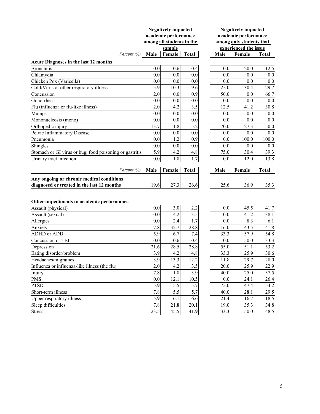|                                                                                         | <b>Negatively impacted</b><br>academic performance<br>among all students in the<br>sample |        |              | <b>Negatively impacted</b><br>academic performance<br>among only students that<br>experienced the issue |      |        |              |
|-----------------------------------------------------------------------------------------|-------------------------------------------------------------------------------------------|--------|--------------|---------------------------------------------------------------------------------------------------------|------|--------|--------------|
| Percent (%)                                                                             | Male                                                                                      | Female | <b>Total</b> |                                                                                                         | Male | Female | <b>Total</b> |
| <b>Acute Diagnoses in the last 12 months</b>                                            |                                                                                           |        |              |                                                                                                         |      |        |              |
| <b>Bronchitis</b>                                                                       | 0.0                                                                                       | 0.6    | 0.4          |                                                                                                         | 0.0  | 20.0   | 12.5         |
| Chlamydia                                                                               | 0.0                                                                                       | 0.0    | 0.0          |                                                                                                         | 0.0  | 0.0    | 0.0          |
| Chicken Pox (Varicella)                                                                 | 0.0                                                                                       | 0.0    | 0.0          |                                                                                                         | 0.0  | 0.0    | 0.0          |
| Cold/Virus or other respiratory illness                                                 | 5.9                                                                                       | 10.3   | 9.6          |                                                                                                         | 25.0 | 30.4   | 29.7         |
| Concussion                                                                              | 2.0                                                                                       | 0.0    | 0.9          |                                                                                                         | 50.0 | 0.0    | 66.7         |
| Gonorrhea                                                                               | 0.0                                                                                       | 0.0    | 0.0          |                                                                                                         | 0.0  | 0.0    | 0.0          |
| Flu (influenza or flu-like illness)                                                     | 2.0                                                                                       | 4.2    | 3.5          |                                                                                                         | 12.5 | 41.2   | 30.8         |
| <b>Mumps</b>                                                                            | 0.0                                                                                       | 0.0    | 0.0          |                                                                                                         | 0.0  | 0.0    | 0.0          |
| Mononucleosis (mono)                                                                    | 0.0                                                                                       | 0.0    | 0.0          |                                                                                                         | 0.0  | 0.0    | 0.0          |
| Orthopedic injury                                                                       | 13.7                                                                                      | 1.8    | 5.2          |                                                                                                         | 70.0 | 27.3   | 50.0         |
| Pelvic Inflammatory Disease                                                             | 0.0                                                                                       | 0.0    | 0.0          |                                                                                                         | 0.0  | 0.0    | 0.0          |
| Pneumonia                                                                               | 0.0                                                                                       | 1.2    | 0.9          |                                                                                                         | 0.0  | 100.0  | 100.0        |
| Shingles                                                                                | 0.0                                                                                       | 0.0    | 0.0          |                                                                                                         | 0.0  | 0.0    | 0.0          |
| Stomach or GI virus or bug, food poisoning or gastritis                                 | 5.9                                                                                       | 4.2    | 4.8          |                                                                                                         | 75.0 | 30.4   | 39.3         |
| Urinary tract infection                                                                 | 0.0                                                                                       | 1.8    | 1.7          |                                                                                                         | 0.0  | 12.0   | 13.8         |
| Percent (%)                                                                             | Male                                                                                      | Female | <b>Total</b> |                                                                                                         | Male | Female | <b>Total</b> |
| Any ongoing or chronic medical conditions<br>diagnosed or treated in the last 12 months | 19.6                                                                                      | 27.3   | 26.6         |                                                                                                         | 25.6 | 36.9   | 35.3         |

### **Other impediments to academic performance**

| Assault (physical)                            | 0.0 <sub>l</sub> | 3.0 <sub>l</sub> | 2.2  | 0.0  | 45.5 | 41.7 |
|-----------------------------------------------|------------------|------------------|------|------|------|------|
| Assault (sexual)                              | 0.0 <sub>l</sub> | 4.2              | 3.5  | 0.0  | 41.2 | 38.1 |
| Allergies                                     | 0.0 <sub>l</sub> | 2.4              | 1.7  | 0.0  | 8.3  | 6.1  |
| Anxiety                                       | 7.8              | 32.7             | 28.8 | 16.0 | 43.5 | 41.8 |
| ADHD or ADD                                   | 5.9              | 6.7              | 7.4  | 33.3 | 57.9 | 54.8 |
| Concussion or TBI                             | 0.0 <sub>l</sub> | 0.6              | 0.4  | 0.0  | 50.0 | 33.3 |
| Depression                                    | 21.6             | 28.5             | 28.8 | 55.0 | 51.1 | 53.2 |
| Eating disorder/problem                       | 3.9              | 4.2              | 4.8  | 33.3 | 25.9 | 30.6 |
| Headaches/migraines                           | 3.9              | 13.3             | 12.2 | 11.8 | 29.7 | 28.0 |
| Influenza or influenza-like illness (the flu) | 2.0              | 4.2              | 3.5  | 20.0 | 25.9 | 22.9 |
| Injury                                        | 7.8              | 1.8              | 3.9  | 40.0 | 25.0 | 37.5 |
| <b>PMS</b>                                    | 0.0 <sub>l</sub> | 12.1             | 10.5 | 0.0  | 24.1 | 26.4 |
| <b>PTSD</b>                                   | 5.9              | 5.5              | 5.7  | 75.0 | 47.4 | 54.2 |
| Short-term illness                            | 7.8              | 5.5              | 5.7  | 40.0 | 28.1 | 29.5 |
| Upper respiratory illness                     | 5.9              | 6.1              | 6.6  | 21.4 | 16.7 | 18.5 |
| Sleep difficulties                            | 7.8              | 21.8             | 20.1 | 19.0 | 35.3 | 34.8 |
| <b>Stress</b>                                 | 23.5             | 45.5             | 41.9 | 33.3 | 50.0 | 48.5 |
|                                               |                  |                  |      |      |      |      |

| 0.0  | 3.0  | 2.2  | 0.0  | 45.5 | 41.7 |
|------|------|------|------|------|------|
| 0.0  | 4.2  | 3.5  | 0.0  | 41.2 | 38.1 |
| 0.0  | 2.4  | 1.7  | 0.0  | 8.3  | 6.1  |
| 7.8  | 32.7 | 28.8 | 16.0 | 43.5 | 41.8 |
| 5.9  | 6.7  | 7.4  | 33.3 | 57.9 | 54.8 |
| 0.0  | 0.6  | 0.4  | 0.0  | 50.0 | 33.3 |
| 21.6 | 28.5 | 28.8 | 55.0 | 51.1 | 53.2 |
| 3.9  | 4.2  | 4.8  | 33.3 | 25.9 | 30.6 |
| 3.9  | 13.3 | 12.2 | 11.8 | 29.7 | 28.0 |
| 2.0  | 4.2  | 3.5  | 20.0 | 25.9 | 22.9 |
| 7.8  | 1.8  | 3.9  | 40.0 | 25.0 | 37.5 |
| 0.0  | 12.1 | 10.5 | 0.0  | 24.1 | 26.4 |
| 5.9  | 5.5  | 5.7  | 75.0 | 47.4 | 54.2 |
| 7.8  | 5.5  | 5.7  | 40.0 | 28.1 | 29.5 |
| 5.9  | 6.1  | 6.6  | 21.4 | 16.7 | 18.5 |
| 7.8  | 21.8 | 20.1 | 19.0 | 35.3 | 34.8 |
| 235  | 45.5 | 41 9 | 333  | 50 Q | 48.5 |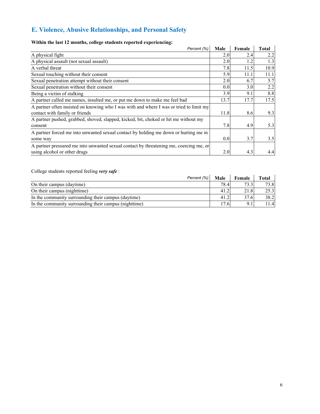# **E. Violence, Abusive Relationships, and Personal Safety**

# **Within the last 12 months, college students reported experiencing:**

| Within the last 12 months, college students reported experiencing:                      |      |        |              |
|-----------------------------------------------------------------------------------------|------|--------|--------------|
| Percent (%)                                                                             | Male | Female | <b>Total</b> |
| A physical fight                                                                        | 2.0  | 2.4    | 2.2          |
| A physical assault (not sexual assault)                                                 | 2.0  | 1.2    | 1.3          |
| A verbal threat                                                                         | 7.8  | 11.5   | 10.9         |
| Sexual touching without their consent                                                   | 5.9  | 11.1   | 11.1         |
| Sexual penetration attempt without their consent                                        | 2.0  | 6.7    | 5.7          |
| Sexual penetration without their consent                                                | 0.0  | 3.0    | 2.2          |
| Being a victim of stalking                                                              | 3.9  | 9.1    | 8.8          |
| A partner called me names, insulted me, or put me down to make me feel bad              | 13.7 | 17.7   | 17.5         |
| A partner often insisted on knowing who I was with and where I was or tried to limit my |      |        |              |
| contact with family or friends                                                          | 11.8 | 8.6    | 9.3          |
| A partner pushed, grabbed, shoved, slapped, kicked, bit, choked or hit me without my    |      |        |              |
| consent                                                                                 | 7.8  | 4.9    | 5.3          |
| A partner forced me into unwanted sexual contact by holding me down or hurting me in    |      |        |              |
| some way                                                                                | 0.0  | 3.7    | 3.5          |
| A partner pressured me into unwanted sexual contact by threatening me, coercing me, or  |      |        |              |
| using alcohol or other drugs                                                            | 2.0  | 4.3    | 4.4          |

College students reported feeling *very safe* :

| Correge students reported reemig very sure.           |      |        |              |
|-------------------------------------------------------|------|--------|--------------|
| Percent (%)                                           | Male | Female | <b>Total</b> |
| On their campus (daytime)                             | 78.4 | 73.3   | 73.8         |
| On their campus (nighttime)                           | 41.2 | 21.8   | 25.3         |
| In the community surrounding their campus (daytime)   | 41.2 | 37.6   | 38.2         |
| In the community surrounding their campus (nighttime) | 17.6 | 9.1    | 11.4         |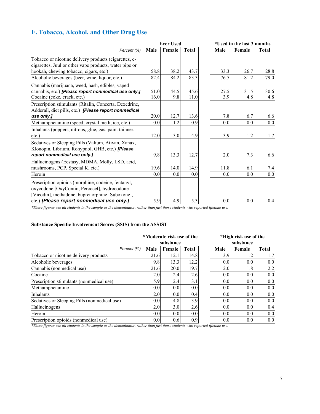# **F. Tobacco, Alcohol, and Other Drug Use**

|                                                                                                                                                                                                     | <b>Ever Used</b> |        |              | *Used in the last 3 months |      |        |              |
|-----------------------------------------------------------------------------------------------------------------------------------------------------------------------------------------------------|------------------|--------|--------------|----------------------------|------|--------|--------------|
| Percent (%)                                                                                                                                                                                         | Male             | Female | <b>Total</b> |                            | Male | Female | <b>Total</b> |
| Tobacco or nicotine delivery products (cigarettes, e-<br>cigarettes, Juul or other vape products, water pipe or                                                                                     |                  |        |              |                            |      |        |              |
| hookah, chewing tobacco, cigars, etc.)                                                                                                                                                              | 58.8             | 38.2   | 43.7         |                            | 33.3 | 26.7   | 28.8         |
| Alcoholic beverages (beer, wine, liquor, etc.)                                                                                                                                                      | 82.4             | 84.2   | 83.3         |                            | 76.5 | 81.2   | 79.0         |
| Cannabis (marijuana, weed, hash, edibles, vaped<br>cannabis, etc.) [Please report nonmedical use only.]                                                                                             | 51.0             | 44.5   | 45.6         |                            | 27.5 | 31.5   | 30.6         |
| Cocaine (coke, crack, etc.)                                                                                                                                                                         | 16.0             | 9.8    | 11.0         |                            | 3.9  | 4.8    | 4.8          |
| Prescription stimulants (Ritalin, Concerta, Dexedrine,<br>Adderall, diet pills, etc.) [Please report nonmedical                                                                                     |                  |        |              |                            |      |        |              |
| use only.]                                                                                                                                                                                          | 20.0             | 12.7   | 13.6         |                            | 7.8  | 6.7    | 6.6          |
| Methamphetamine (speed, crystal meth, ice, etc.)                                                                                                                                                    | 0.0              | 1.2    | 0.9          |                            | 0.0  | 0.0    | 0.0          |
| Inhalants (poppers, nitrous, glue, gas, paint thinner,<br>$etc.$ )                                                                                                                                  | 12.0             | 3.0    | 4.9          |                            | 3.9  | 1.2    | 1.7          |
| Sedatives or Sleeping Pills (Valium, Ativan, Xanax,<br>Klonopin, Librium, Rohypnol, GHB, etc.) [Please<br>report nonmedical use only.]                                                              | 9.8              | 13.3   | 12.7         |                            | 2.0  | 7.3    | 6.6          |
| Hallucinogens (Ecstasy, MDMA, Molly, LSD, acid,<br>mushrooms, PCP, Special K, etc.)                                                                                                                 | 19.6             | 14.0   | 14.9         |                            | 11.8 | 6.1    | 7.4          |
| Heroin                                                                                                                                                                                              | 0.0              | 0.0    | 0.0          |                            | 0.0  | 0.0    | 0.0          |
| Prescription opioids (morphine, codeine, fentanyl,<br>oxycodone [OxyContin, Percocet], hydrocodone<br>[Vicodin], methadone, buprenorphine [Suboxone],<br>etc.) [Please report nonmedical use only.] | 5.9              | 4.9    | 5.3          |                            | 0.0  | 0.0    | 0.4          |

*\*These figures use all students in the sample as the denominator, rather than just those students who reported lifetime use.*

### **Substance Specific Involvement Scores (SSIS) from the ASSIST**

|                                              | *Moderate risk use of the<br>substance |                  |       | *High risk use of the<br>substance |        |              |
|----------------------------------------------|----------------------------------------|------------------|-------|------------------------------------|--------|--------------|
| Percent (%)                                  | Male                                   | Female           | Total | Male                               | Female | <b>Total</b> |
| Tobacco or nicotine delivery products        | 21.6                                   | 12.1             | 14.8  | 3.9                                | 1.2    | 1.7          |
| Alcoholic beverages                          | 9.8                                    | 13.3             | 12.2  | 0.0 <sub>l</sub>                   | 0.0    | 0.0          |
| Cannabis (nonmedical use)                    | 21.6                                   | 20.0             | 19.7  | 2.0 <sub>l</sub>                   | 1.8    | 2.2          |
| Cocaine                                      | 2.0                                    | 2.4              | 2.6   | 0.0 <sub>l</sub>                   | 0.0    | 0.0          |
| Prescription stimulants (nonmedical use)     | 5.9                                    | 2.4              | 3.1   | 0.0 <sub>l</sub>                   | 0.0    | 0.0          |
| Methamphetamine                              | 0.0                                    | 0.0 <sub>l</sub> | 0.0   | 0.0 <sub>l</sub>                   | 0.0    | 0.0          |
| Inhalants                                    | 2.0                                    | 0.0 <sub>l</sub> | 0.4   | 0.0 <sub>l</sub>                   | 0.0    | 0.0          |
| Sedatives or Sleeping Pills (nonmedical use) | 0.0                                    | 4.8              | 3.9   | 0.0 <sub>l</sub>                   | 0.0    | 0.0          |
| Hallucinogens                                | 2.0                                    | 3.0              | 2.6   | 0.0 <sub>l</sub>                   | 0.0    | 0.4          |
| Heroin                                       | 0.0                                    | 0.0 <sub>l</sub> | 0.0   | 0.0 <sub>l</sub>                   | 0.0    | 0.0          |
| Prescription opioids (nonmedical use)        | 0.0                                    | 0.6              | 0.9   | 0.0 <sub>l</sub>                   | 0.0    | 0.0          |

*\*These figures use all students in the sample as the denominator, rather than just those students who reported lifetime use.*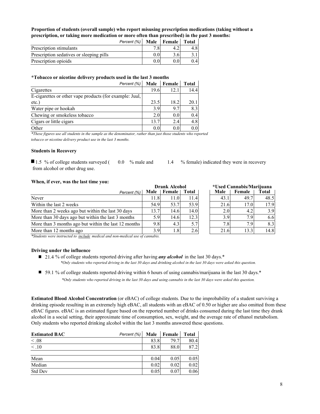**Proportion of students (overall sample) who report misusing prescription medications (taking without a prescription, or taking more medication or more often than prescribed) in the past 3 months:**

|                                          | Percent (%) Male Female Total |  |  |
|------------------------------------------|-------------------------------|--|--|
| Prescription stimulants                  |                               |  |  |
| Prescription sedatives or sleeping pills |                               |  |  |
| Prescription opioids                     |                               |  |  |

#### **\*Tobacco or nicotine delivery products used in the last 3 months**

| Percent (%)                                             | Male | Female | Total |
|---------------------------------------------------------|------|--------|-------|
| Cigarettes                                              | 19.6 | 12.1   | 14.4  |
| E-cigarettes or other vape products (for example: Juul, |      |        |       |
| etc.)                                                   | 23.5 | 18.2   | 20.1  |
| Water pipe or hookah                                    | 3.9  | 9.7    | 8.3   |
| Chewing or smokeless tobacco                            | 2.0  | 0.0    | 0.4   |
| Cigars or little cigars                                 | 13.7 | 2.4    | 4.8   |
| Other                                                   | 0.0  | 0.0    | 0.0   |

*\*These figures use all students in the sample as the denominator, rather than just those students who reported tobacco or nicotine delivery product use in the last 3 months.*

#### **Students in Recovery**

 from alcohol or other drug use. ■ 1.5 % of college students surveyed (

#### **When, if ever, was the last time you:**

|                                                      |      | <b>Drank Alcohol</b> |                    |                  | *Used Cannabis/Marijuana |       |
|------------------------------------------------------|------|----------------------|--------------------|------------------|--------------------------|-------|
| Percent (%)                                          |      | Male Female          | Total              | Male             | Female                   | Total |
| Never                                                | 11.8 | 11.0                 | $\left 1.4\right $ | 43.1             | 49.7                     | 48.5  |
| Within the last 2 weeks                              | 54.9 | 53.7                 | 53.9               | 21.6             | 17.0                     | 17.9  |
| More than 2 weeks ago but within the last 30 days    | 13.7 | 14.6                 | 14.0               | 2.0              | 4.2                      | 3.9   |
| More than 30 days ago but within the last 3 months   | 5.9  | 14.6                 | 12.3               | 3.9              | 7.9                      | 6.6   |
| More than 3 months ago but within the last 12 months | 9.8  | 4.3                  | 5.7                | 7.8 <sub>1</sub> | 7.9                      | 8.3   |
| More than 12 months ago                              | 3.9  | $1.8^{\circ}$        | 2.6                | 21.6             | 13.3                     | 14.8  |

*\*Students were instructed to include medical and non-medical use of cannabis.*

#### **Driving under the influence**

- 21.4 % of college students reported driving after having *any alcohol* in the last 30 days.<sup>\*</sup> *\*Only students who reported driving in the last 30 days and drinking alcohol in the last 30 days were asked this question.*
- 59.1 % of college students reported driving within 6 hours of using cannabis/marijuana in the last 30 days.\* *\*Only students who reported driving in the last 30 days and using cannabis in the last 30 days were asked this question.*

**Estimated Blood Alcohol Concentration** (or eBAC) of college students. Due to the improbability of a student surviving a drinking episode resulting in an extremely high eBAC, all students with an eBAC of 0.50 or higher are also omitted from these eBAC figures. eBAC is an estimated figure based on the reported number of drinks consumed during the last time they drank alcohol in a social setting, their approximate time of consumption, sex, weight, and the average rate of ethanol metabolism. Only students who reported drinking alcohol within the last 3 months answered these questions.

| <b>Estimated BAC</b> | Male<br>Percent (%) | Female       | <b>Total</b> |
|----------------------|---------------------|--------------|--------------|
| < 0.08               |                     | 83.8<br>79.7 | 80.4         |
| $\overline{<}$ .10   |                     | 88.0<br>83.8 | 87.2         |
|                      |                     |              |              |
| Mean                 |                     | 0.04<br>0.05 | 0.05         |
| Median               |                     | 0.02<br>0.02 | 0.02         |
| Std Dev              |                     | 0.05<br>0.07 | 0.06         |

0.0 % male and 1.4 % female) indicated they were in recovery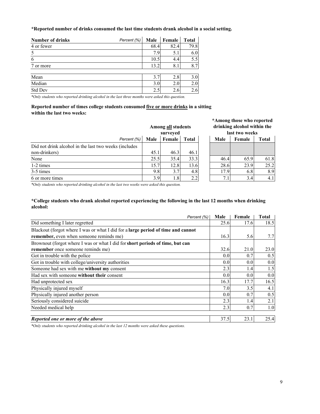**\*Reported number of drinks consumed the last time students drank alcohol in a social setting.** 

| <b>Number of drinks</b> | Percent (%) | Male | Female | <b>Total</b> |
|-------------------------|-------------|------|--------|--------------|
| 4 or fewer              |             | 68.4 | 82.4   | 79.8         |
| 5                       |             | 7.9  | 5.1    | 6.0          |
| 6                       |             | 10.5 | 4.4    | 5.5          |
| 7 or more               |             | 13.2 | 8.1    | 8.7          |
|                         |             |      |        |              |
| Mean                    |             | 3.7  | 2.8    | 3.0          |
| Median                  |             | 3.0  | 2.0    | 2.0          |
| Std Dev                 |             | 2.5  | 2.6    | 2.6          |

*\*Only students who reported drinking alcohol in the last three months were asked this question.*

#### **Reported number of times college students consumed five or more drinks in a sitting within the last two weeks:**

|                                                       | Among all students<br>surveyed |               |              |  |          | drinking alcohol within the<br>last two weeks |              |
|-------------------------------------------------------|--------------------------------|---------------|--------------|--|----------|-----------------------------------------------|--------------|
| Percent (%)                                           | Male                           | <b>Female</b> | <b>Total</b> |  | Male     | Female                                        | <b>Total</b> |
| Did not drink alcohol in the last two weeks (includes |                                |               |              |  |          |                                               |              |
| non-drinkers)                                         | 45.1                           | 46.3          | 46.1         |  |          |                                               |              |
| None                                                  | 25.5                           | 35.4          | 33.3         |  | 46.4     | 65.9                                          | 61           |
| 1-2 times                                             | 15.7                           | 12.8          | 13.6         |  | 28.6     | 23.9                                          | 25           |
| 3-5 times                                             | 9.8                            | 3.7           | 4.8          |  | 17.9     | 6.8                                           | 8            |
| 6 or more times                                       | 3.9                            | 1.81          | 2.2          |  | $7_{.1}$ | 3.4                                           | 4            |

**\*Among those who reported drinking alcohol within the last two weeks**

|      | surveyea |              |      | last two weeks |              |
|------|----------|--------------|------|----------------|--------------|
| ale  | Female   | <b>Total</b> | Male | Female         | <b>Total</b> |
|      |          |              |      |                |              |
| 45.1 | 46.3     | 46.1         |      |                |              |
| 25.5 | 35.4     | 33.3         | 46.4 | 65.9           | 61.8         |
| 15.7 | 12.8     | 13.6         | 28.6 | 23.9           | 25.2         |
| 9.8  | 3.7      | 4.8          | 17.9 | 6.8            | 8.9          |
| 3.9  | 1.8      | 2.2          | 7.1  | 3.4            |              |

*\*Only students who reported drinking alcohol in the last two weeks were asked this question.*

#### **\*College students who drank alcohol reported experiencing the following in the last 12 months when drinking alcohol:**

| Percent (%)                                                                      | Male             | Female | <b>Total</b> |
|----------------------------------------------------------------------------------|------------------|--------|--------------|
| Did something I later regretted                                                  | 25.6             | 17.6   | 18.5         |
| Blackout (forgot where I was or what I did for a large period of time and cannot |                  |        |              |
| <b>remember</b> , even when someone reminds me)                                  | 16.3             | 5.6    | 7.7          |
| Brownout (forgot where I was or what I did for short periods of time, but can    |                  |        |              |
| remember once someone reminds me)                                                | 32.6             | 21.0   | 23.0         |
| Got in trouble with the police                                                   | 0.0 <sub>l</sub> | 0.7    | 0.5          |
| Got in trouble with college/university authorities                               | 0.0 <sub>l</sub> | 0.0    | 0.0          |
| Someone had sex with me without my consent                                       | 2.3              | 1.4    | 1.5          |
| Had sex with someone without their consent                                       | 0.0 <sub>l</sub> | 0.0    | 0.0          |
| Had unprotected sex                                                              | 16.3             | 17.7   | 16.5         |
| Physically injured myself                                                        | 7.0 <sub>l</sub> | 3.5    | 4.1          |
| Physically injured another person                                                | 0.0 <sub>l</sub> | 0.7    | 0.5          |
| Seriously considered suicide                                                     | 2.3              | 1.4    | 2.1          |
| Needed medical help                                                              | 2.3              | 0.7    | 1.0          |
| Reported one or more of the above                                                | 37.5             | 23.1   | 25.4         |

*\*Only students who reported drinking alcohol in the last 12 months were asked these questions.*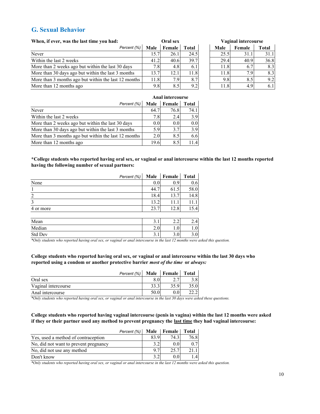## **G. Sexual Behavior**

| When, if ever, was the last time you had:            | Oral sex |        |              |  | <b>Vaginal intercourse</b> |        |              |  |
|------------------------------------------------------|----------|--------|--------------|--|----------------------------|--------|--------------|--|
| Percent (%)                                          | Male     | Female | <b>Total</b> |  | Male                       | Female | <b>Total</b> |  |
| Never                                                | 15.7     | 26.1   | 24.5         |  | 25.5                       | 31.1   | 31           |  |
| Within the last 2 weeks                              | 41.2     | 40.6   | 39.7         |  | 29.4                       | 40.9   | 36           |  |
| More than 2 weeks ago but within the last 30 days    | 7.81     | 4.8    | 6.1          |  | 11.8                       | 6.7    |              |  |
| More than 30 days ago but within the last 3 months   | 13.7     | 12.    | 11.8         |  | 11.8                       | 7.9    |              |  |
| More than 3 months ago but within the last 12 months | 11.8     | 7.9    | 8.7          |  | 9.8                        | 8.5    |              |  |
| More than 12 months ago                              | 9.8      | 8.5    | 9.2          |  | 11.8                       | 4.9    |              |  |

| Oral sex |        |              |  | Vaginal intercourse |        |              |  |  |
|----------|--------|--------------|--|---------------------|--------|--------------|--|--|
| ale      | Female | <b>Total</b> |  | Male                | Female | <b>Total</b> |  |  |
| 15.7     | 26.1   | 24.5         |  | 25.5                | 31.1   | 31.1         |  |  |
| 41.2     | 40.6   | 39.7         |  | 29.4                | 40.9   | 36.8         |  |  |
| 7.8      | 4.8    | 6.1          |  | 11.8                | 6.7    | 8.3          |  |  |
| 13.7     | 12.1   | 11.8         |  | 11.8                | 7.9    | 8.3          |  |  |
| 11.8     | 7.9    | 8.7          |  | 9.8                 | 8.5    | 9.2          |  |  |
| 9.8      |        | 9.2          |  |                     | 4.9    |              |  |  |

|                                                      |                  | Anal intercourse |       |
|------------------------------------------------------|------------------|------------------|-------|
| Percent (%)                                          | Male             | Female           | Total |
| Never                                                | 64.7             | 76.8             | 74.1  |
| Within the last 2 weeks                              | 7.8I             | 2.4              | 3.9   |
| More than 2 weeks ago but within the last 30 days    | 0.0 <sub>l</sub> | 0.0              | 0.0   |
| More than 30 days ago but within the last 3 months   | 5.9              | 3.7              | 3.9   |
| More than 3 months ago but within the last 12 months | 2.0              | 8.5              | 6.6   |
| More than 12 months ago                              | 19.6             | 8.5              | 11.4  |

#### **\*College students who reported having oral sex, or vaginal or anal intercourse within the last 12 months reported having the following number of sexual partners:**

|                         | Percent (%) | Male | Female | <b>Total</b> |
|-------------------------|-------------|------|--------|--------------|
| None                    |             | 0.0  | 0.9    | 0.6          |
|                         |             | 44.7 | 61.5   | 58.0         |
| $\overline{2}$          |             | 18.4 | 13.7   | 14.8         |
| $\overline{\mathbf{3}}$ |             | 13.2 | 11.1   | 11.1         |
| 4 or more               |             | 23.7 | 12.8   | 15.4         |
|                         |             |      |        |              |
| Mean                    |             | 3.1  | 2.2    | 2.4          |
| Median                  |             | 2.0  | 1.0    | 1.0          |
| Std Dev                 |             | 3.1  | 3.0    | 3.0          |
|                         |             |      |        |              |

*\*Only students who reported having oral sex, or vaginal or anal intercourse in the last 12 months were asked this question.*

#### **College students who reported having oral sex, or vaginal or anal intercourse within the last 30 days who reported using a condom or another protective barrier** *most of the time* **or** *always:*

|                     | Percent (%) |      | Male   Female | Total |
|---------------------|-------------|------|---------------|-------|
| Oral sex            |             |      |               |       |
| Vaginal intercourse |             | 33.3 | 35.9          | 35.0  |
| Anal intercourse    |             |      |               | 22.2  |

*\*Only students who reported having oral sex, or vaginal or anal intercourse in the last 30 days were asked these questions.*

#### **College students who reported having vaginal intercourse (penis in vagina) within the last 12 months were asked if they or their partner used any method to prevent pregnancy the last time they had vaginal intercourse:**

|                                       | Percent (%) |      | Male Female | <b>Total</b> |
|---------------------------------------|-------------|------|-------------|--------------|
| Yes, used a method of contraception   |             | 83.9 | 74.3        | 76.8         |
| No, did not want to prevent pregnancy |             |      | 0.0         |              |
| No, did not use any method            |             |      | 25.7        |              |
| Don't know                            |             |      |             | $\vert 4$    |

*\*Only students who reported having oral sex, or vaginal or anal intercourse in the last 12 months were asked this question.*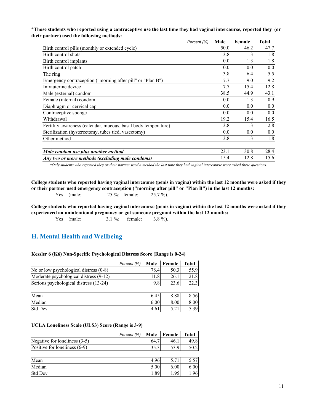#### **\*Those students who reported using a contraceptive use the last time they had vaginal intercourse, reported they (or their partner) used the following methods:**  $\mathcal{L}$  $\mathcal{L}$  $\mathcal{L}$

|                                                                | Percent (%) | Male | Female | <b>Total</b> |
|----------------------------------------------------------------|-------------|------|--------|--------------|
| Birth control pills (monthly or extended cycle)                |             | 50.0 | 46.2   | 47.7         |
| Birth control shots                                            |             | 3.8  | 1.3    | 1.8          |
| Birth control implants                                         |             | 0.0  | 1.3    | 1.8          |
| Birth control patch                                            |             | 0.0  | 0.0    | 0.0          |
| The ring                                                       |             | 3.8  | 6.4    | 5.5          |
| Emergency contraception ("morning after pill" or "Plan B")     |             | 7.7  | 9.0    | 9.2          |
| Intrauterine device                                            |             | 7.7  | 15.4   | 12.8         |
| Male (external) condom                                         |             | 38.5 | 44.9   | 43.1         |
| Female (internal) condom                                       |             | 0.0  | 1.3    | 0.9          |
| Diaphragm or cervical cap                                      |             | 0.0  | 0.0    | 0.0          |
| Contraceptive sponge                                           |             | 0.0  | 0.0    | 0.0          |
| Withdrawal                                                     |             | 19.2 | 15.4   | 16.5         |
| Fertility awareness (calendar, mucous, basal body temperature) |             | 3.8  | 1.3    | 2.8          |
| Sterilization (hysterectomy, tubes tied, vasectomy)            |             | 0.0  | 0.0    | 0.0          |
| Other method                                                   |             | 3.8  | 1.3    | 1.8          |
|                                                                |             |      |        |              |
| Male condom use plus another method                            |             | 23.1 | 30.8   | 28.4         |
| Any two or more methods (excluding male condoms)               |             | 15.4 | 12.8   | 15.6         |

*\*Only students who reported they or their partner used a method the last time they had vaginal intercourse were asked these questions.*

Yes (male: 25 %; female: 25.7 %). **College students who reported having vaginal intercourse (penis in vagina) within the last 12 months were asked if they or their partner used emergency contraception ("morning after pill" or "Plan B") in the last 12 months:**

Yes (male: 3.1 %; female: 3.8 %). **College students who reported having vaginal intercourse (penis in vagina) within the last 12 months were asked if they experienced an unintentional pregnancy or got someone pregnant within the last 12 months:**

## **H. Mental Health and Wellbeing**

#### **Kessler 6 (K6) Non-Specific Psychological Distress Score (Range is 0-24)**

|                                          | Percent (%) | Male | Female | <b>Total</b> |
|------------------------------------------|-------------|------|--------|--------------|
| No or low psychological distress $(0-8)$ |             | 78.4 | 50.3   | 55.9         |
| Moderate psychological distress (9-12)   |             | 11.8 | 26.1   | 21.8         |
| Serious psychological distress (13-24)   |             | 9.8  | 23.6   | 22.3         |
|                                          |             |      |        |              |
| Mean                                     |             | 6.45 | 8.88   | 8.56         |
| Median                                   |             | 6.00 | 8.00   | 8.00         |
| <b>Std Dev</b>                           |             | 4.61 | 5.21   | 5.39         |

#### **UCLA Loneliness Scale (ULS3) Score (Range is 3-9)**

| Percent (%)                     | Male |      | Female | <b>Total</b> |
|---------------------------------|------|------|--------|--------------|
| Negative for loneliness $(3-5)$ |      | 64.7 | 46.1   | 49.8         |
| Positive for loneliness (6-9)   |      | 35.3 | 53.9   | 50.2         |
|                                 |      |      |        |              |
| Mean                            |      | 4.96 | 5.71   | 5.57         |
| Median                          |      | 5.00 | 6.00   | 6.00         |
| Std Dev                         |      | 1.89 | 1.95   | 1.96         |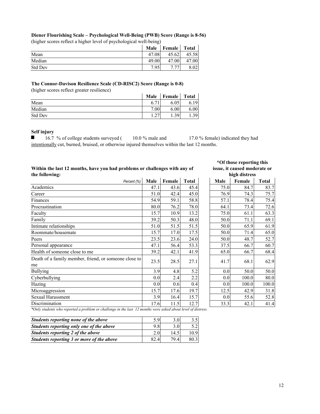### (higher scores reflect a higher level of psychological well-being) **Diener Flourishing Scale – Psychological Well-Being (PWB) Score (Range is 8-56)**

|  |  |  | el of psychological w |  |  |  |  |
|--|--|--|-----------------------|--|--|--|--|
|--|--|--|-----------------------|--|--|--|--|

| (inglici scoles fericel a higher level of psychological well-bellig) |       |               |              |  |  |  |  |
|----------------------------------------------------------------------|-------|---------------|--------------|--|--|--|--|
|                                                                      | Male  | <b>Female</b> | <b>Total</b> |  |  |  |  |
| Mean                                                                 | 47.08 | 45.62         | 45.58        |  |  |  |  |
| Median                                                               | 49.00 | 47.00         | 47.00        |  |  |  |  |
| <b>Std Dev</b>                                                       | 7.95  |               |              |  |  |  |  |

#### **The Connor-Davison Resilience Scale (CD-RISC2) Score (Range is 0-8)**

(higher scores reflect greater resilience)

|         | Male                     | <b>Female</b> | <b>Total</b>        |
|---------|--------------------------|---------------|---------------------|
| Mean    | $\overline{ }$<br>b. /   | 6.05          |                     |
| Median  | 7.00                     | 6.00          | 6.00                |
| Std Dev | $\sim$<br>$\overline{1}$ | 30            | $1.39$ <sup>1</sup> |

#### **Self injury**

 $\blacksquare$ 16.7 % of college students surveyed ( 10.0 % male and 17.0 % female) indicated they had intentionally cut, burned, bruised, or otherwise injured themselves within the last 12 months.

#### **Within the last 12 months, have you had problems or challenges with any of the following:**

| Percent (%)                                           | Male | Female | <b>Total</b> | Male | Female | <b>Total</b> |
|-------------------------------------------------------|------|--------|--------------|------|--------|--------------|
| Academics                                             | 47.1 | 43.6   | 45.4         | 75.0 | 84.7   | 83           |
| Career                                                | 51.0 | 42.4   | 45.0         | 76.9 | 74.3   | 75           |
| Finances                                              | 54.9 | 59.1   | 58.8         | 57.1 | 78.4   | 75           |
| Procrastination                                       | 80.0 | 76.2   | 78.0         | 64.1 | 73.4   | 72           |
| Faculty                                               | 15.7 | 10.9   | 13.2         | 75.0 | 61.1   | 63           |
| Family                                                | 39.2 | 50.3   | 48.0         | 50.0 | 71.1   | 69           |
| Intimate relationships                                | 51.0 | 51.5   | 51.5         | 50.0 | 65.9   | 61           |
| Roommate/housemate                                    | 15.7 | 17.0   | 17.5         | 50.0 | 71.4   | 65           |
| Peers                                                 | 23.5 | 23.6   | 24.0         | 50.0 | 48.7   | 52           |
| Personal appearance                                   | 47.1 | 56.4   | 53.3         | 37.5 | 66.7   | 60           |
| Health of someone close to me                         | 39.2 | 42.1   | 41.9         | 65.0 | 66.7   | 68           |
| Death of a family member, friend, or someone close to | 23.5 | 28.5   | 27.1         | 41.7 | 68.1   | 62           |
| me                                                    |      |        |              |      |        |              |
| <b>Bullying</b>                                       | 3.9  | 4.8    | 5.2          | 0.0  | 50.0   | 50           |
| Cyberbullying                                         | 0.0  | 2.4    | 2.2          | 0.0  | 100.0  | 80           |
| Hazing                                                | 0.0  | 0.6    | 0.4          | 0.0  | 100.0  | 100          |
| Microaggression                                       | 15.7 | 17.6   | 19.7         | 12.5 | 42.9   | 31           |
| Sexual Harassment                                     | 3.9  | 16.4   | 15.7         | 0.0  | 55.6   | 52           |
| Discrimination                                        | 17.6 | 11.5   | 12.7         | 33.3 | 42.1   | 41           |

# **\*Of those reporting this issue, it caused moderate or**

|      |        |              |      | high distress |              |
|------|--------|--------------|------|---------------|--------------|
| ale  | Female | <b>Total</b> | Male | Female        | <b>Total</b> |
| 47.1 | 43.6   | 45.4         | 75.0 | 84.7          | 83.7         |
| 51.0 | 42.4   | 45.0         | 76.9 | 74.3          | 75.7         |
| 54.9 | 59.1   | 58.8         | 57.1 | 78.4          | 75.4         |
| 80.0 | 76.2   | 78.0         | 64.1 | 73.4          | 72.6         |
| 15.7 | 10.9   | 13.2         | 75.0 | 61.1          | 63.3         |
| 39.2 | 50.3   | 48.0         | 50.0 | 71.1          | 69.1         |
| 51.0 | 51.5   | 51.5         | 50.0 | 65.9          | 61.9         |
| 15.7 | 17.0   | 17.5         | 50.0 | 71.4          | 65.0         |
| 23.5 | 23.6   | 24.0         | 50.0 | 48.7          | 52.7         |
| 47.1 | 56.4   | 53.3         | 37.5 | 66.7          | 60.7         |
| 39.2 | 42.1   | 41.9         | 65.0 | 66.7          | 68.4         |
| 23.5 | 28.5   | 27.1         | 41.7 | 68.1          | 62.9         |
| 3.9  | 4.8    | 5.2          | 0.0  | 50.0          | 50.0         |
| 0.0  | 2.4    | 2.2          | 0.0  | 100.0         | 80.0         |
| 0.0  | 0.6    | 0.4          | 0.0  | 100.0         | 100.0        |
| 15.7 | 17.6   | 19.7         | 12.5 | 42.9          | 31.8         |
| 3.9  | 16.4   | 15.7         | 0.0  | 55.6          | 52.8         |
| 17.6 | 11.5   | 12.7         | 33.3 | 42.1          | 41.4         |

*\*Only students who reported a problem or challenge in the last 12 months were asked about level of distress.*

| Students reporting none of the above      | 5.9  | 3.OI |      |
|-------------------------------------------|------|------|------|
| Students reporting only one of the above  | 9.8  | 3.0  | 5.2  |
| Students reporting 2 of the above         | 2.0  | 14.5 | 10.9 |
| Students reporting 3 or more of the above | 82.4 | 79.4 | 80.3 |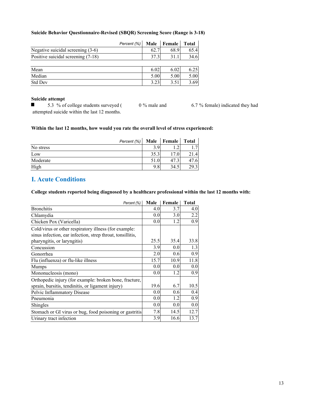#### **Suicide Behavior Questionnaire-Revised (SBQR) Screening Score (Range is 3-18)**

|                                    | Percent (%) | Male | <b>Female</b> | <b>Total</b> |
|------------------------------------|-------------|------|---------------|--------------|
| Negative suicidal screening (3-6)  |             | 62.7 | 68.9          | 65.4         |
| Positive suicidal screening (7-18) |             | 37.3 | 31.1          | 34.6         |
|                                    |             |      |               |              |
| Mean                               |             | 6.02 | 6.02          | 6.25         |
| Median                             |             | 5.00 | 5.00          | 5.00         |
| Std Dev                            |             | 3.23 | 3.51          | 3.69         |

#### **Suicide attempt**

 $\blacksquare$ 5.3 % of college students surveyed ( 0 % male and 6.7 % female) indicated they had attempted suicide within the last 12 months.

#### **Within the last 12 months, how would you rate the overall level of stress experienced:**

|           | Percent (%) | Male | Female           | Total |
|-----------|-------------|------|------------------|-------|
| No stress |             | 3.9  |                  |       |
| Low       |             | 35.3 | 7.0 <sub>1</sub> |       |
| Moderate  |             | 51.0 |                  |       |
| High      |             | 9.8  | 34.5             |       |

# **I. Acute Conditions**

**College students reported being diagnosed by a healthcare professional within the last 12 months with:**

| Percent (%)                                                | Male | Female | <b>Total</b> |
|------------------------------------------------------------|------|--------|--------------|
| <b>Bronchitis</b>                                          | 4.0  | 3.7    | 4.0          |
| Chlamydia                                                  | 0.0  | 3.0    | 2.2          |
| Chicken Pox (Varicella)                                    | 0.0  | 1.2    | 0.9          |
| Cold/virus or other respiratory illness (for example:      |      |        |              |
| sinus infection, ear infection, strep throat, tonsillitis, |      |        |              |
| pharyngitis, or laryngitis)                                | 25.5 | 35.4   | 33.8         |
| Concussion                                                 | 3.9  | 0.0    | 1.3          |
| Gonorrhea                                                  | 2.0  | 0.6    | 0.9          |
| Flu (influenza) or flu-like illness                        | 15.7 | 10.9   | 11.8         |
| <b>Mumps</b>                                               | 0.0  | 0.0    | 0.0          |
| Mononucleosis (mono)                                       | 0.0  | 1.2    | 0.9          |
| Orthopedic injury (for example: broken bone, fracture,     |      |        |              |
| sprain, bursitis, tendinitis, or ligament injury)          | 19.6 | 6.7    | 10.5         |
| Pelvic Inflammatory Disease                                | 0.0  | 0.6    | 0.4          |
| Pneumonia                                                  | 0.0  | 1.2    | 0.9          |
| Shingles                                                   | 0.0  | 0.0    | 0.0          |
| Stomach or GI virus or bug, food poisoning or gastritis    | 7.8  | 14.5   | 12.7         |
| Urinary tract infection                                    | 3.9  | 16.6   | 13.7         |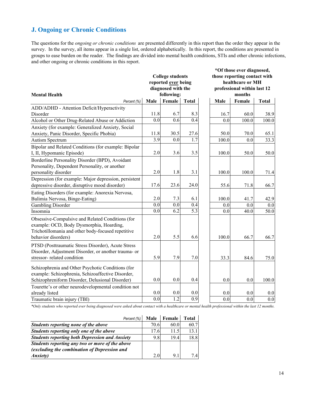# **J. Ongoing or Chronic Conditions**

The questions for the *ongoing or chronic conditions* are presented differently in this report than the order they appear in the survey. In the survey, all items appear in a single list, ordered alphabetically. In this report, the conditions are presented in groups to ease burden on the reader. The findings are divided into mental health conditions, STIs and other chronic infections, and other ongoing or chronic conditions in this report.

|                                                       |      |                         |                  |                    | *Of those ever diagnosed,    |              |  |  |  |
|-------------------------------------------------------|------|-------------------------|------------------|--------------------|------------------------------|--------------|--|--|--|
|                                                       |      | <b>College students</b> |                  |                    | those reporting contact with |              |  |  |  |
|                                                       |      | reported ever being     |                  |                    | healthcare or MH             |              |  |  |  |
|                                                       |      | diagnosed with the      |                  |                    | professional within last 12  |              |  |  |  |
| <b>Mental Health</b>                                  |      | following:              |                  |                    | months                       |              |  |  |  |
| Percent (%)                                           | Male | Female                  | <b>Total</b>     | Male               | Female                       | <b>Total</b> |  |  |  |
| ADD/ADHD - Attention Deficit/Hyperactivity            |      |                         |                  |                    |                              |              |  |  |  |
| Disorder                                              | 11.8 | 6.7                     | 8.3              | 16.7               | 60.0                         | 38.9         |  |  |  |
| Alcohol or Other Drug-Related Abuse or Addiction      | 0.0  | 0.6                     | 0.4              | 0.0                | 100.0                        | 100.0        |  |  |  |
| Anxiety (for example: Generalized Anxiety, Social     |      |                         |                  |                    |                              |              |  |  |  |
| Anxiety, Panic Disorder, Specific Phobia)             | 11.8 | 30.5                    | 27.6             | 50.0               | 70.0                         | 65.1         |  |  |  |
| Autism Spectrum                                       | 3.9  | 0.0                     | $\overline{1.7}$ | $\overline{100.0}$ | 0.0                          | 33.3         |  |  |  |
| Bipolar and Related Conditions (for example: Bipolar  |      |                         |                  |                    |                              |              |  |  |  |
| I, II, Hypomanic Episode)                             | 2.0  | 3.6                     | 3.5              | 100.0              | 50.0                         | 50.0         |  |  |  |
| Borderline Personality Disorder (BPD), Avoidant       |      |                         |                  |                    |                              |              |  |  |  |
| Personality, Dependent Personality, or another        |      |                         |                  |                    |                              |              |  |  |  |
| personality disorder                                  | 2.0  | 1.8                     | 3.1              | 100.0              | 100.0                        | 71.4         |  |  |  |
| Depression (for example: Major depression, persistent |      |                         |                  |                    |                              |              |  |  |  |
| depressive disorder, disruptive mood disorder)        | 17.6 | 23.6                    | 24.0             | 55.6               | 71.8                         | 66.7         |  |  |  |
| Eating Disorders (for example: Anorexia Nervosa,      |      |                         |                  |                    |                              |              |  |  |  |
| Bulimia Nervosa, Binge-Eating)                        | 2.0  | 7.3                     | 6.1              | 100.0              | 41.7                         | 42.9         |  |  |  |
| Gambling Disorder                                     | 0.0  | 0.0                     | 0.4              | 0.0                | 0.0                          | 0.0          |  |  |  |
| Insomnia                                              | 0.0  | 6.2                     | 5.3              | 0.0                | 40.0                         | 50.0         |  |  |  |
| Obsessive-Compulsive and Related Conditions (for      |      |                         |                  |                    |                              |              |  |  |  |
| example: OCD, Body Dysmorphia, Hoarding,              |      |                         |                  |                    |                              |              |  |  |  |
| Trichotillomania and other body-focused repetitive    |      |                         |                  |                    |                              |              |  |  |  |
| behavior disorders)                                   | 2.0  | 5.5                     | 6.6              | 100.0              | 66.7                         | 66.7         |  |  |  |
| PTSD (Posttraumatic Stress Disorder), Acute Stress    |      |                         |                  |                    |                              |              |  |  |  |
| Disorder, Adjustment Disorder, or another trauma- or  |      |                         |                  |                    |                              |              |  |  |  |
| stressor-related condition                            | 5.9  | 7.9                     | 7.0              | 33.3               | 84.6                         | 75.0         |  |  |  |
|                                                       |      |                         |                  |                    |                              |              |  |  |  |
| Schizophrenia and Other Psychotic Conditions (for     |      |                         |                  |                    |                              |              |  |  |  |
| example: Schizophrenia, Schizoaffective Disorder,     |      |                         |                  |                    |                              |              |  |  |  |
| Schizophreniform Disorder, Delusional Disorder)       | 0.0  | 0.0                     | 0.4              | 0.0                | 0.0                          | 100.0        |  |  |  |
| Tourette's or other neurodevelopmental condition not  |      |                         |                  |                    |                              |              |  |  |  |
| already listed                                        | 0.0  | 0.0                     | 0.0              | 0.0                | 0.0                          | 0.0          |  |  |  |
| Traumatic brain injury (TBI)                          | 0.0  | $\overline{1.2}$        | $\overline{0.9}$ | 0.0                | 0.0                          | 0.0          |  |  |  |

*\*Only students who reported ever being diagnosed were asked about contact with a healthcare or mental health professional within the last 12 months.*

| Percent (%)                                           | Male | Female | Total |
|-------------------------------------------------------|------|--------|-------|
| Students reporting none of the above                  | 70.6 | 60.0   | 60.7  |
| Students reporting only one of the above              | 17.6 | 11.5   | 13.1  |
| <b>Students reporting both Depression and Anxiety</b> | 9.8  | 19.4   | 18.8  |
| Students reporting any two or more of the above       |      |        |       |
| (excluding the combination of Depression and          |      |        |       |
| <i>Anxiety</i> )                                      | 2.0  | 9.1    | 7.4   |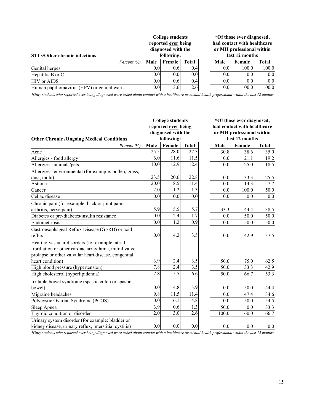| <b>STI's/Other chronic infections</b>       | <b>College students</b><br>reported ever being<br>diagnosed with the<br>following: |               |       |  | *Of those ever diagnosed,<br>had contact with healthcare<br>or MH professional within<br>last 12 months |                  |       |
|---------------------------------------------|------------------------------------------------------------------------------------|---------------|-------|--|---------------------------------------------------------------------------------------------------------|------------------|-------|
| Percent (%)                                 | Male                                                                               | <b>Female</b> | Total |  | Male                                                                                                    | Female           | Total |
| Genital herpes                              | 0.0                                                                                | 0.6           | 0.4   |  | 0.0                                                                                                     | 100.0            | 100.0 |
| Hepatitis B or C                            | 0.0                                                                                | 0.0           | 0.0   |  | 0.0                                                                                                     | 0.0 <sub>l</sub> | 0.0   |
| HIV or AIDS                                 | 0.0                                                                                | 0.6           | 0.4   |  | 0.0                                                                                                     | 0.0 <sub>l</sub> | 0.0   |
| Human papillomavirus (HPV) or genital warts | 0.0                                                                                | 3.6           | 2.6   |  | 0.0                                                                                                     | 100.0            | 100.0 |

*\*Only students who reported ever being diagnosed were asked about contact with a healthcare or mental health professional within the last 12 months.*

|                                                        |                  | <b>College students</b> |              |       | *Of those ever diagnosed,                                                  |              |  |  |
|--------------------------------------------------------|------------------|-------------------------|--------------|-------|----------------------------------------------------------------------------|--------------|--|--|
|                                                        |                  | reported ever being     |              |       | had contact with healthcare<br>or MH professional within<br>last 12 months |              |  |  |
|                                                        |                  | diagnosed with the      |              |       |                                                                            |              |  |  |
| <b>Other Chronic /Ongoing Medical Conditions</b>       |                  | following:              |              |       |                                                                            |              |  |  |
| Percent (%)                                            | Male             | Female                  | <b>Total</b> | Male  | Female                                                                     | <b>Total</b> |  |  |
| Acne                                                   | 25.5             | 28.0                    | 27.3         | 30.8  | 38.6                                                                       | 35.0         |  |  |
| Allergies - food allergy                               | 6.0              | 11.6                    | 11.5         | 0.0   | 21.1                                                                       | 19.2         |  |  |
| Allergies - animals/pets                               | 10.0             | 12.9                    | 12.4         | 0.0   | 25.0                                                                       | 18.5         |  |  |
| Allergies - environmental (for example: pollen, grass, |                  |                         |              |       |                                                                            |              |  |  |
| dust, mold)                                            | 23.5             | 20.6                    | 22.8         | 0.0   | 33.3                                                                       | 25.5         |  |  |
| Asthma                                                 | 20.0             | $8.\overline{5}$        | 11.4         | 0.0   | 14.3                                                                       | 7.7          |  |  |
| Cancer                                                 | 2.0              | 1.2                     | 1.3          | 0.0   | 100.0                                                                      | 50.0         |  |  |
| Celiac disease                                         | 0.0              | 0.0                     | 0.0          | 0.0   | 0.0                                                                        | 0.0          |  |  |
| Chronic pain (for example: back or joint pain,         |                  |                         |              |       |                                                                            |              |  |  |
| arthritis, nerve pain)                                 | 5.9              | 5.5                     | 5.7          | 33.3  | 44.4                                                                       | 38.5         |  |  |
| Diabetes or pre-diabetes/insulin resistance            | 0.0              | 2.4                     | 1.7          | 0.0   | 50.0                                                                       | 50.0         |  |  |
| Endometriosis                                          | 0.0              | 1.2                     | 0.9          | 0.0   | 50.0                                                                       | 50.0         |  |  |
| Gastroesophageal Reflux Disease (GERD) or acid         |                  |                         |              |       |                                                                            |              |  |  |
| reflux                                                 | 0.0              | 4.2                     | 3.5          | 0.0   | 42.9                                                                       | 37.5         |  |  |
| Heart & vascular disorders (for example: atrial        |                  |                         |              |       |                                                                            |              |  |  |
| fibrillation or other cardiac arrhythmia, mitral valve |                  |                         |              |       |                                                                            |              |  |  |
| prolapse or other valvular heart disease, congenital   |                  |                         |              |       |                                                                            |              |  |  |
| heart condition)                                       | 3.9              | 2.4                     | 3.5          | 50.0  | 75.0                                                                       | 62.5         |  |  |
| High blood pressure (hypertension)                     | 7.8              | 2.4                     | 3.5          | 50.0  | 33.3                                                                       | 42.9         |  |  |
| High cholesterol (hyperlipidemia)                      | 7.8              | 5.5                     | 6.6          | 50.0  | 66.7                                                                       | 53.3         |  |  |
| Irritable bowel syndrome (spastic colon or spastic     |                  |                         |              |       |                                                                            |              |  |  |
| bowel)                                                 | 0.0              | 4.8                     | 3.9          | 0.0   | 50.0                                                                       | 44.4         |  |  |
| Migraine headaches                                     | 9.8              | 11.5                    | 11.4         | 0.0   | 47.4                                                                       | 34.6         |  |  |
| Polycystic Ovarian Syndrome (PCOS)                     | 0.0              | 6.1                     | 4.8          | 0.0   | 50.0                                                                       | 54.5         |  |  |
| Sleep Apnea                                            | $\overline{3.9}$ | 0.6                     | 1.3          | 50.0  | 0.0                                                                        | 33.3         |  |  |
| Thyroid condition or disorder                          | 2.0              | 3.0                     | 2.6          | 100.0 | 60.0                                                                       | 66.7         |  |  |
| Urinary system disorder (for example: bladder or       |                  |                         |              |       |                                                                            |              |  |  |
| kidney disease, urinary reflux, interstitial cystitis) | 0.0              | 0.0                     | 0.0          | 0.0   | 0.0                                                                        | 0.0          |  |  |

*\*Only students who reported ever being diagnosed were asked about contact with a healthcare or mental health professional within the last 12 months.*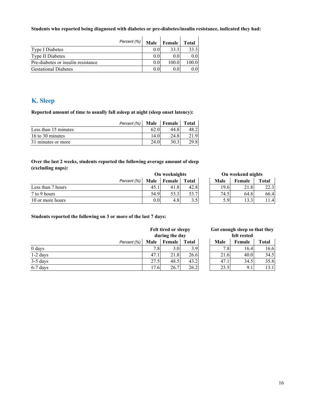#### **Students who reported being diagnosed with diabetes or pre-diabetes/insulin resistance, indicated they had:**

|                                    | Percent (%) | Male | <b>Female</b>    | <b>Total</b> |
|------------------------------------|-------------|------|------------------|--------------|
| <b>Type I Diabetes</b>             |             | 0.0  | 33.3             | 33.3         |
| Type II Diabetes                   |             | 0.0  | 0.0 <sub>l</sub> | 0.0          |
| Pre-diabetes or insulin resistance |             | 0.0  | 100.0            | 100.0        |
| <b>Gestational Diabetes</b>        |             | 0.0  | 0.0              | 0.0          |

# **K. Sleep**

**Reported amount of time to usually fall asleep at night (sleep onset latency):**

|                      |      | Percent (%)   Male   Female   Total |      |
|----------------------|------|-------------------------------------|------|
| Less than 15 minutes |      | 44.8                                |      |
| 16 to 30 minutes     |      | 24.8                                | 21.9 |
| 31 minutes or more   | 24.0 | 30.3                                | 29.8 |

#### **Over the last 2 weeks, students reported the following average amount of sleep (excluding naps):**

|                   | On weeknights |      |               | On weekend nights |               |        |              |
|-------------------|---------------|------|---------------|-------------------|---------------|--------|--------------|
|                   | Percent (%)   | Male | <b>Female</b> | <b>Total</b>      | Male          | Female | <b>Total</b> |
| Less than 7 hours |               | 45.1 | 41.8          | 42.8              | 19.6          | 21.8   | 22           |
| 7 to 9 hours      |               | 54.9 | 53.3          | 53.7              | 74.5          | 64.8   | 66           |
| 10 or more hours  |               | 0.01 | 4.8           | 3.5               | $5.9^{\circ}$ | 13.3   |              |

| On weeknights |        |              | On weekend nights |      |        |              |
|---------------|--------|--------------|-------------------|------|--------|--------------|
| ale           | Female | <b>Total</b> |                   | Male | Female | <b>Total</b> |
| 45.1          |        | 42.8         |                   | 19.6 | 21.8   | 22.1         |
| 54.9          | 53.3   | 53.7         |                   | 74.5 | 64.8   | 66.          |
| $0.0\,$       |        | 3.5          |                   | 5.9  |        |              |

#### **Students reported the following on 3 or more of the last 7 days:**

|            |             | Felt tired or sleepy<br>during the day |               | Got enough sleep so that the<br>felt rested |      |        |       |
|------------|-------------|----------------------------------------|---------------|---------------------------------------------|------|--------|-------|
|            | Percent (%) | Male                                   | <b>Female</b> | <b>Total</b>                                | Male | Female | Total |
| 0 days     |             | 7.8                                    | 3.0I          | 3.9                                         | 7.8  | 16.4   | 16    |
| 1-2 days   |             | 47.1                                   | 21.8          | 26.6                                        | 21.6 | 40.0   | 34    |
| $3-5$ days |             | 27.5                                   | 48.5          | 43.2                                        | 47.1 | 34.5   | 35    |
| $6-7$ days |             | 17.6                                   | 26.7          | 26.2                                        | 23.5 | 9.1    | 13    |

|  | Got enough sleep so that they |  |
|--|-------------------------------|--|
|  | felt rested                   |  |
|  |                               |  |

| ale  | Female | <b>Total</b> | Male | Female   | <b>Total</b> |
|------|--------|--------------|------|----------|--------------|
| 7.8  | 3.0    | 3.9          | 7.8  | 16.4     | 16.6         |
| 47   | 21.8   | 26.6         | 21.6 | 40.0     | 34.5         |
| 27.5 | 48.5   | 43.2         |      | 34.5     | 35.8         |
| 17.6 |        |              | 23.5 | $9_{11}$ |              |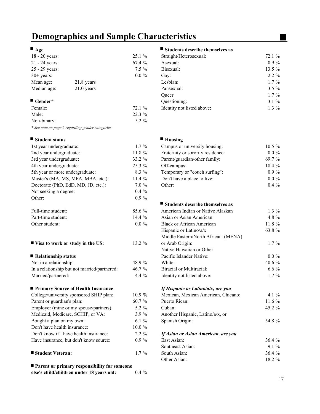# **Demographics and Sample Characteristics**

| $18 - 20$ years:       |              | $25.1\%$ |
|------------------------|--------------|----------|
| $21 - 24$ years:       |              | $67.4\%$ |
| 25 - 29 years:         |              | $7.5\%$  |
| $30+$ years:           |              | $0.0\%$  |
| Mean age:              | $21.8$ years |          |
| Median age:            | $21.0$ years |          |
| $\blacksquare$ Gender* |              |          |

| Female:     | 72.1 %  |
|-------------|---------|
| Male:       | 22.3 %  |
| Non-binary: | 5.2 $%$ |

*\* See note on page 2 regarding gender categories*

### **Example 3 Student status Example 3 Student status Example 3 Student status Example 3 Student status Example 3 Student status Example 3 Student status Example 3 Student status Example 3 Student status Example 3 Student sta**

| 1st year undergraduate:                             | $1.7\%$  | Campus or university housing:        |
|-----------------------------------------------------|----------|--------------------------------------|
| 2nd year undergraduate:                             | 11.8 %   | Fraternity or sorority residence:    |
| 3rd year undergraduate:                             | 33.2 %   | Parent/guardian/other family:        |
| 4th year undergraduate:                             | 25.3 %   | Off-campus:                          |
| 5th year or more undergraduate:                     | 8.3 %    | Temporary or "couch surfing":        |
| Master's (MA, MS, MFA, MBA, etc.):                  | 11.4 %   | Don't have a place to live:          |
| Doctorate (PhD, EdD, MD, JD, etc.):                 | $7.0\%$  | Other:                               |
| Not seeking a degree:                               | $0.4\%$  |                                      |
| Other:                                              | $0.9\%$  |                                      |
|                                                     |          | Students describe themselves as<br>ш |
| Full-time student:                                  | 85.6 %   | American Indian or Native Alaskan    |
| Part-time student:                                  | 14.4 %   | Asian or Asian American              |
| Other student:                                      | $0.0\%$  | Black or African American            |
|                                                     |          | Hispanic or Latino/a/x               |
|                                                     |          | Middle Eastern/North African (MEN    |
| ■ Visa to work or study in the US:                  | $13.2\%$ | or Arab Origin:                      |
|                                                     |          | Native Hawaiian or Other             |
| Relationship status                                 |          | Pacific Islander Native:             |
| Not in a relationship:                              | 48.9%    | White:                               |
| In a relationship but not married/partnered:        | 46.7 %   | <b>Biracial or Multiracial:</b>      |
| Married/partnered:                                  | $4.4\%$  | Identity not listed above:           |
| ■ Primary Source of Health Insurance                |          | If Hispanic or Latino/a/x, are you   |
| College/university sponsored SHIP plan:             | 10.9%    | Mexican, Mexican American, Chican    |
| Parent or guardian's plan:                          | 60.7%    | Puerto Rican:                        |
| Employer (mine or my spouse/partners):              | 5.2 %    | Cuban:                               |
| Medicaid, Medicare, SCHIP, or VA:                   | $3.9\%$  | Another Hispanic, Latino/a/x, or     |
| Bought a plan on my own:                            | $6.1\%$  | Spanish Origin:                      |
| Don't have health insurance:                        | 10.0%    |                                      |
| Don't know if I have health insurance:              | $2.2 \%$ | If Asian or Asian American, are you  |
| Have insurance, but don't know source:              | $0.9 \%$ | East Asian:                          |
|                                                     |          | Southeast Asian:                     |
| ■ Student Veteran:                                  | $1.7\%$  | South Asian:                         |
|                                                     |          | Other Asian:                         |
| <b>Parent or primary responsibility for someone</b> |          |                                      |
| else's child/children under 18 years old:           | $0.4\%$  |                                      |

#### $\blacksquare$  Age **Students describe themselves as**

| 18 - 20 years:       |              | $25.1\%$ | Straight/Heterosexual:     | 72.1 %  |
|----------------------|--------------|----------|----------------------------|---------|
| 21 - 24 years:       |              | 67.4 %   | Asexual:                   | $0.9\%$ |
| 25 - 29 years:       |              | $7.5\%$  | Bisexual:                  | 13.5 %  |
| $30+$ years:         |              | $0.0\%$  | Gay:                       | $2.2\%$ |
| Mean age:            | 21.8 years   |          | Lesbian:                   | $1.7\%$ |
| Median age:          | $21.0$ years |          | Pansexual:                 | $3.5\%$ |
|                      |              |          | Oueer:                     | $1.7\%$ |
| <sup>1</sup> Gender* |              |          | Questioning:               | 3.1%    |
| Female:              |              | 72.1 %   | Identity not listed above: | $1.3\%$ |
| .                    |              | 22.2.2   |                            |         |

| 1st year undergraduate:             | $1.7\%$  | Campus or university housing:     | $10.5\%$ |
|-------------------------------------|----------|-----------------------------------|----------|
| 2nd year undergraduate:             | 11.8 %   | Fraternity or sorority residence: | $0.0\%$  |
| 3rd year undergraduate:             | 33.2 %   | Parent/guardian/other family:     | 69.7 %   |
| 4th year undergraduate:             | $25.3\%$ | Off-campus:                       | 18.4 %   |
| 5th year or more undergraduate:     | 8.3 %    | Temporary or "couch surfing":     | $0.9\%$  |
| Master's (MA, MS, MFA, MBA, etc.):  | $11.4\%$ | Don't have a place to live:       | $0.0 \%$ |
| Doctorate (PhD, EdD, MD, JD, etc.): | $7.0\%$  | Other:                            | $0.4\%$  |
|                                     |          |                                   |          |

### **Students describe themselves as** American Indian or Native Alaskan 1.3 %

| Part-time student:                           | 14.4 $%$ | Asian or Asian American             | 4.8 $%$  |
|----------------------------------------------|----------|-------------------------------------|----------|
| Other student:                               | $0.0\%$  | <b>Black or African American</b>    | 11.8 %   |
|                                              |          | Hispanic or Latino/a/x              | 63.8 %   |
|                                              |          | Middle Eastern/North African (MENA) |          |
| ■ Visa to work or study in the US:           | 13.2 %   | or Arab Origin:                     | $1.7\%$  |
|                                              |          | Native Hawaiian or Other            |          |
| Relationship status                          |          | Pacific Islander Native:            | $0.0\%$  |
| Not in a relationship:                       | 48.9 %   | White:                              | 40.6 $%$ |
| In a relationship but not married/partnered: | $46.7\%$ | Biracial or Multiracial:            | $6.6\%$  |
| Married/partnered:                           | 4.4 $%$  | Identity not listed above:          | $1.7\%$  |
|                                              |          |                                     |          |

#### *If Hispanic or Latino/a/x, are you*

| College/university sponsored SHIP plan: | 10.9 %    | Mexican, Mexican American, Chicano: | 4.1 $%$  |
|-----------------------------------------|-----------|-------------------------------------|----------|
| Parent or guardian's plan:              | 60.7 %    | Puerto Rican:                       | $11.6\%$ |
| Employer (mine or my spouse/partners):  | 5.2 $%$   | Cuban:                              | 45.2 %   |
| Medicaid, Medicare, SCHIP, or VA:       | $3.9\%$   | Another Hispanic, Latino/a/x, or    |          |
| Bought a plan on my own:                | 6.1 $%$   | Spanish Origin:                     | 54.8 %   |
| Don't have health insurance:            | $10.0 \%$ |                                     |          |
| Don't know if I have health insurance:  | $2.2\%$   | If Asian or Asian American, are you |          |
| Have insurance, but don't know source:  | $0.9\%$   | East Asian:                         | 36.4%    |
|                                         |           | Southeast Asian:                    | $9.1\%$  |
| ■ Student Veteran:                      | $1.7\%$   | South Asian:                        | 36.4%    |

Other Asian: 18.2 %

٠